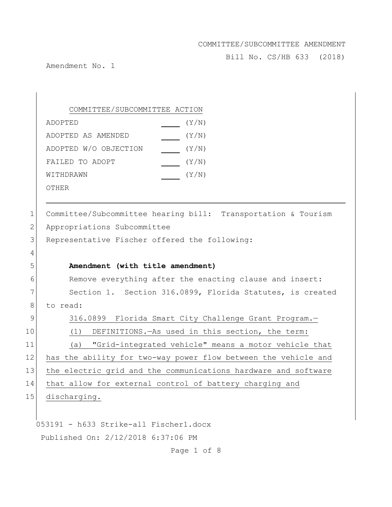Bill No. CS/HB 633 (2018)

Amendment No. 1

COMMITTEE/SUBCOMMITTEE ACTION ADOPTED(Y/N) ADOPTED AS AMENDED(Y/N) ADOPTED W/O OBJECTION (Y/N) FAILED TO ADOPT  $\sqrt{Y/N}$ WITHDRAWN(Y/N)

OTHER

1 Committee/Subcommittee hearing bill: Transportation & Tourism 2 Appropriations Subcommittee 3 Representative Fischer offered the following: 4 5 **Amendment (with title amendment)** 6 Remove everything after the enacting clause and insert: 7 Section 1. Section 316.0899, Florida Statutes, is created 8 to read: 9 316.0899 Florida Smart City Challenge Grant Program.-10 (1) DEFINITIONS.—As used in this section, the term: 11 (a) "Grid-integrated vehicle" means a motor vehicle that 12 has the ability for two-way power flow between the vehicle and 13 the electric grid and the communications hardware and software

14 that allow for external control of battery charging and

15 discharging.

053191 - h633 Strike-all Fischer1.docx Published On: 2/12/2018 6:37:06 PM

Page 1 of 8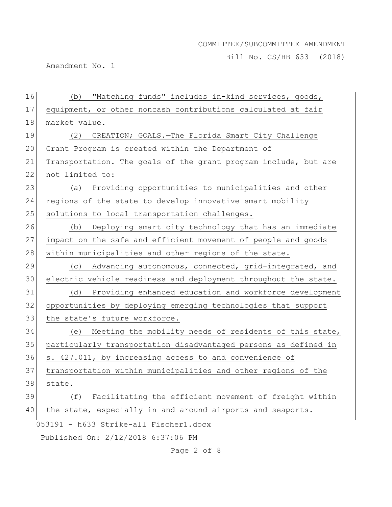Bill No. CS/HB 633 (2018)

Amendment No. 1

| 16 | "Matching funds" includes in-kind services, goods,<br>(b)       |
|----|-----------------------------------------------------------------|
| 17 | equipment, or other noncash contributions calculated at fair    |
| 18 | market value.                                                   |
| 19 | CREATION; GOALS.-The Florida Smart City Challenge<br>(2)        |
| 20 | Grant Program is created within the Department of               |
| 21 | Transportation. The goals of the grant program include, but are |
| 22 | not limited to:                                                 |
| 23 | (a) Providing opportunities to municipalities and other         |
| 24 | regions of the state to develop innovative smart mobility       |
| 25 | solutions to local transportation challenges.                   |
| 26 | Deploying smart city technology that has an immediate<br>(b)    |
| 27 | impact on the safe and efficient movement of people and goods   |
| 28 | within municipalities and other regions of the state.           |
| 29 | Advancing autonomous, connected, grid-integrated, and<br>(C)    |
| 30 | electric vehicle readiness and deployment throughout the state. |
| 31 | (d) Providing enhanced education and workforce development      |
| 32 | opportunities by deploying emerging technologies that support   |
| 33 | the state's future workforce.                                   |
| 34 | Meeting the mobility needs of residents of this state,<br>(e)   |
| 35 | particularly transportation disadvantaged persons as defined in |
| 36 | s. 427.011, by increasing access to and convenience of          |
| 37 | transportation within municipalities and other regions of the   |
| 38 | state.                                                          |
| 39 | Facilitating the efficient movement of freight within<br>(f)    |
| 40 | the state, especially in and around airports and seaports.      |
|    | 053191 - h633 Strike-all Fischer1.docx                          |
|    | Published On: 2/12/2018 6:37:06 PM                              |

Page 2 of 8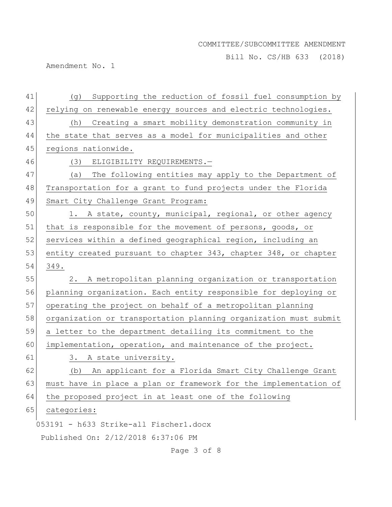Bill No. CS/HB 633 (2018)

Amendment No. 1

| 41 | Supporting the reduction of fossil fuel consumption by<br>(g)    |
|----|------------------------------------------------------------------|
| 42 | relying on renewable energy sources and electric technologies.   |
| 43 | (h) Creating a smart mobility demonstration community in         |
| 44 | the state that serves as a model for municipalities and other    |
| 45 | regions nationwide.                                              |
| 46 | (3) ELIGIBILITY REQUIREMENTS.-                                   |
| 47 | The following entities may apply to the Department of<br>(a)     |
| 48 | Transportation for a grant to fund projects under the Florida    |
| 49 | Smart City Challenge Grant Program:                              |
| 50 | 1. A state, county, municipal, regional, or other agency         |
| 51 | that is responsible for the movement of persons, goods, or       |
| 52 | services within a defined geographical region, including an      |
| 53 | entity created pursuant to chapter 343, chapter 348, or chapter  |
| 54 | 349.                                                             |
| 55 | 2. A metropolitan planning organization or transportation        |
| 56 | planning organization. Each entity responsible for deploying or  |
| 57 | operating the project on behalf of a metropolitan planning       |
| 58 | organization or transportation planning organization must submit |
| 59 | a letter to the department detailing its commitment to the       |
| 60 | implementation, operation, and maintenance of the project.       |
| 61 | 3. A state university.                                           |
| 62 | An applicant for a Florida Smart City Challenge Grant<br>(b)     |
| 63 | must have in place a plan or framework for the implementation of |
| 64 | the proposed project in at least one of the following            |
| 65 | categories:                                                      |
|    | 053191 - h633 Strike-all Fischer1.docx                           |
|    | Published On: 2/12/2018 6:37:06 PM                               |
|    |                                                                  |

Page 3 of 8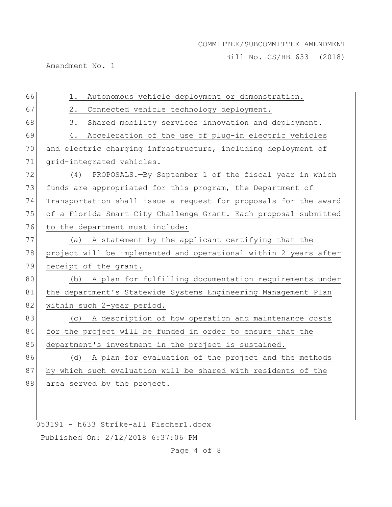Bill No. CS/HB 633 (2018)

Amendment No. 1

| 66 | Autonomous vehicle deployment or demonstration.<br>1.            |
|----|------------------------------------------------------------------|
| 67 | 2.<br>Connected vehicle technology deployment.                   |
| 68 | 3.<br>Shared mobility services innovation and deployment.        |
| 69 | Acceleration of the use of plug-in electric vehicles<br>4.       |
| 70 | and electric charging infrastructure, including deployment of    |
| 71 | grid-integrated vehicles.                                        |
| 72 | (4) PROPOSALS.-By September 1 of the fiscal year in which        |
| 73 | funds are appropriated for this program, the Department of       |
| 74 | Transportation shall issue a request for proposals for the award |
| 75 | of a Florida Smart City Challenge Grant. Each proposal submitted |
| 76 | to the department must include:                                  |
| 77 | (a) A statement by the applicant certifying that the             |
| 78 | project will be implemented and operational within 2 years after |
| 79 | receipt of the grant.                                            |
| 80 | A plan for fulfilling documentation requirements under<br>(b)    |
| 81 | the department's Statewide Systems Engineering Management Plan   |
| 82 | within such 2-year period.                                       |
| 83 | A description of how operation and maintenance costs<br>(C)      |
| 84 | for the project will be funded in order to ensure that the       |
| 85 | department's investment in the project is sustained.             |
| 86 | (d) A plan for evaluation of the project and the methods         |
| 87 | by which such evaluation will be shared with residents of the    |
| 88 | area served by the project.                                      |
|    |                                                                  |

053191 - h633 Strike-all Fischer1.docx Published On: 2/12/2018 6:37:06 PM

Page 4 of 8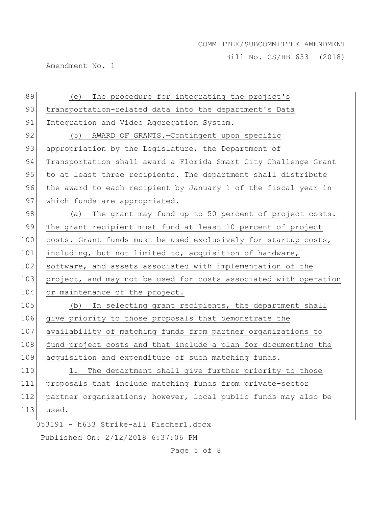Bill No. CS/HB 633 (2018)

Amendment No. 1

| 89  | The procedure for integrating the project's<br>(e)               |
|-----|------------------------------------------------------------------|
| 90  | transportation-related data into the department's Data           |
| 91  | Integration and Video Aggregation System.                        |
| 92  | (5)<br>AWARD OF GRANTS.-Contingent upon specific                 |
| 93  | appropriation by the Legislature, the Department of              |
| 94  | Transportation shall award a Florida Smart City Challenge Grant  |
| 95  | to at least three recipients. The department shall distribute    |
| 96  | the award to each recipient by January 1 of the fiscal year in   |
| 97  | which funds are appropriated.                                    |
| 98  | The grant may fund up to 50 percent of project costs.<br>(a)     |
| 99  | The grant recipient must fund at least 10 percent of project     |
| 100 | costs. Grant funds must be used exclusively for startup costs,   |
| 101 | including, but not limited to, acquisition of hardware,          |
| 102 | software, and assets associated with implementation of the       |
| 103 | project, and may not be used for costs associated with operation |
| 104 | or maintenance of the project.                                   |
| 105 | In selecting grant recipients, the department shall<br>(b)       |
| 106 | give priority to those proposals that demonstrate the            |
| 107 | availability of matching funds from partner organizations to     |
| 108 | fund project costs and that include a plan for documenting the   |
| 109 | acquisition and expenditure of such matching funds.              |
| 110 | The department shall give further priority to those<br>1.        |
| 111 | proposals that include matching funds from private-sector        |
| 112 | partner organizations; however, local public funds may also be   |
| 113 | used.                                                            |
|     | 053191 - h633 Strike-all Fischer1.docx                           |
|     | Published On: 2/12/2018 6:37:06 PM                               |

Page 5 of 8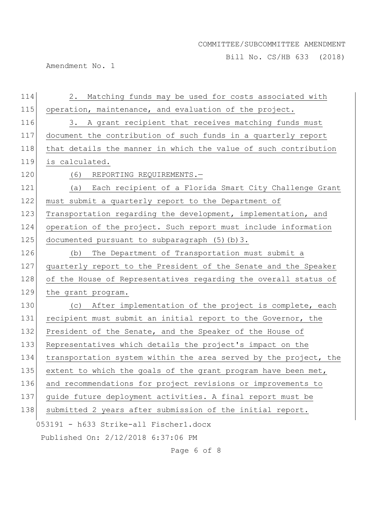Bill No. CS/HB 633 (2018)

Amendment No. 1

| 114 | Matching funds may be used for costs associated with<br>2.       |
|-----|------------------------------------------------------------------|
| 115 | operation, maintenance, and evaluation of the project.           |
| 116 | A grant recipient that receives matching funds must<br>3.        |
| 117 | document the contribution of such funds in a quarterly report    |
| 118 | that details the manner in which the value of such contribution  |
| 119 | is calculated.                                                   |
| 120 | (6)<br>REPORTING REQUIREMENTS.-                                  |
| 121 | (a) Each recipient of a Florida Smart City Challenge Grant       |
| 122 | must submit a quarterly report to the Department of              |
| 123 | Transportation regarding the development, implementation, and    |
| 124 | operation of the project. Such report must include information   |
| 125 | documented pursuant to subparagraph (5) (b) 3.                   |
| 126 | The Department of Transportation must submit a<br>(b)            |
| 127 | quarterly report to the President of the Senate and the Speaker  |
| 128 | of the House of Representatives regarding the overall status of  |
| 129 | the grant program.                                               |
| 130 | After implementation of the project is complete, each<br>(C)     |
| 131 | recipient must submit an initial report to the Governor, the     |
| 132 | President of the Senate, and the Speaker of the House of         |
| 133 | Representatives which details the project's impact on the        |
| 134 | transportation system within the area served by the project, the |
| 135 | extent to which the goals of the grant program have been met,    |
| 136 | and recommendations for project revisions or improvements to     |
| 137 | guide future deployment activities. A final report must be       |
| 138 | submitted 2 years after submission of the initial report.        |
|     | 053191 - h633 Strike-all Fischer1.docx                           |
|     | Published On: 2/12/2018 6:37:06 PM                               |

Page 6 of 8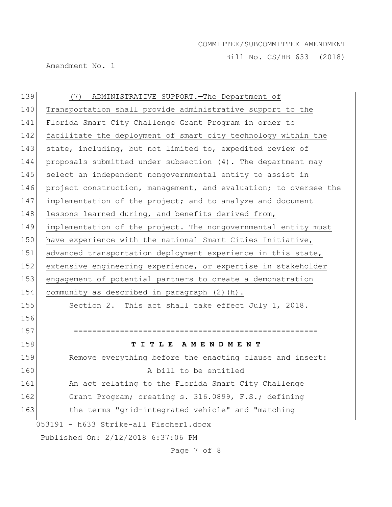Bill No. CS/HB 633 (2018)

Amendment No. 1

| 139 | (7) ADMINISTRATIVE SUPPORT. The Department of                    |
|-----|------------------------------------------------------------------|
| 140 | Transportation shall provide administrative support to the       |
| 141 | Florida Smart City Challenge Grant Program in order to           |
| 142 | facilitate the deployment of smart city technology within the    |
| 143 | state, including, but not limited to, expedited review of        |
| 144 | proposals submitted under subsection (4). The department may     |
| 145 | select an independent nongovernmental entity to assist in        |
| 146 | project construction, management, and evaluation; to oversee the |
| 147 | implementation of the project; and to analyze and document       |
| 148 | lessons learned during, and benefits derived from,               |
| 149 | implementation of the project. The nongovernmental entity must   |
| 150 | have experience with the national Smart Cities Initiative,       |
| 151 | advanced transportation deployment experience in this state,     |
| 152 | extensive engineering experience, or expertise in stakeholder    |
| 153 | engagement of potential partners to create a demonstration       |
| 154 | community as described in paragraph (2) (h).                     |
| 155 | Section 2. This act shall take effect July 1, 2018.              |
| 156 |                                                                  |
| 157 |                                                                  |
| 158 | TITLE AMENDMENT                                                  |
| 159 | Remove everything before the enacting clause and insert:         |
| 160 | A bill to be entitled                                            |
| 161 | An act relating to the Florida Smart City Challenge              |
| 162 | Grant Program; creating s. 316.0899, F.S.; defining              |
| 163 | the terms "grid-integrated vehicle" and "matching                |
|     | 053191 - h633 Strike-all Fischer1.docx                           |
|     | Published On: 2/12/2018 6:37:06 PM                               |

Page 7 of 8